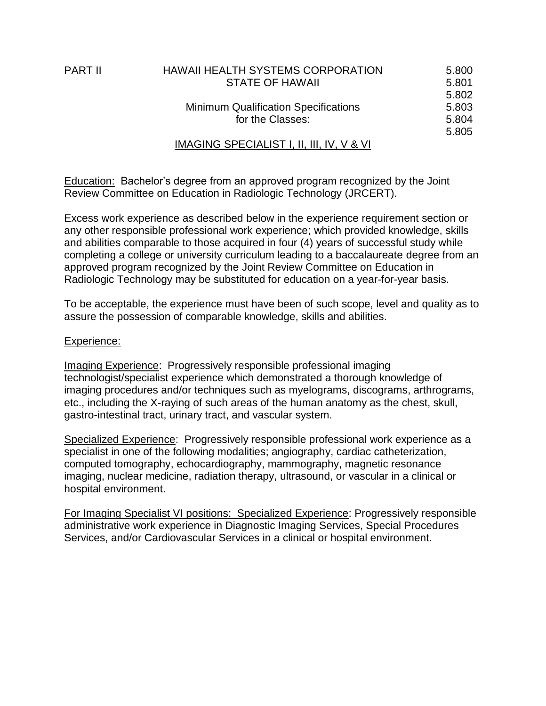| PART II | <b>HAWAII HEALTH SYSTEMS CORPORATION</b>    | 5.800 |
|---------|---------------------------------------------|-------|
|         | <b>STATE OF HAWAII</b>                      | 5.801 |
|         |                                             | 5.802 |
|         | <b>Minimum Qualification Specifications</b> | 5.803 |
|         | for the Classes:                            | 5.804 |
|         |                                             | 5.805 |
|         | IMAGING SPECIALIST I, II, III, IV, V & VI   |       |
|         |                                             |       |

Education: Bachelor's degree from an approved program recognized by the Joint Review Committee on Education in Radiologic Technology (JRCERT).

Excess work experience as described below in the experience requirement section or any other responsible professional work experience; which provided knowledge, skills and abilities comparable to those acquired in four (4) years of successful study while completing a college or university curriculum leading to a baccalaureate degree from an approved program recognized by the Joint Review Committee on Education in Radiologic Technology may be substituted for education on a year-for-year basis.

To be acceptable, the experience must have been of such scope, level and quality as to assure the possession of comparable knowledge, skills and abilities.

### Experience:

Imaging Experience: Progressively responsible professional imaging technologist/specialist experience which demonstrated a thorough knowledge of imaging procedures and/or techniques such as myelograms, discograms, arthrograms, etc., including the X-raying of such areas of the human anatomy as the chest, skull, gastro-intestinal tract, urinary tract, and vascular system.

Specialized Experience: Progressively responsible professional work experience as a specialist in one of the following modalities; angiography, cardiac catheterization, computed tomography, echocardiography, mammography, magnetic resonance imaging, nuclear medicine, radiation therapy, ultrasound, or vascular in a clinical or hospital environment.

For Imaging Specialist VI positions: Specialized Experience: Progressively responsible administrative work experience in Diagnostic Imaging Services, Special Procedures Services, and/or Cardiovascular Services in a clinical or hospital environment.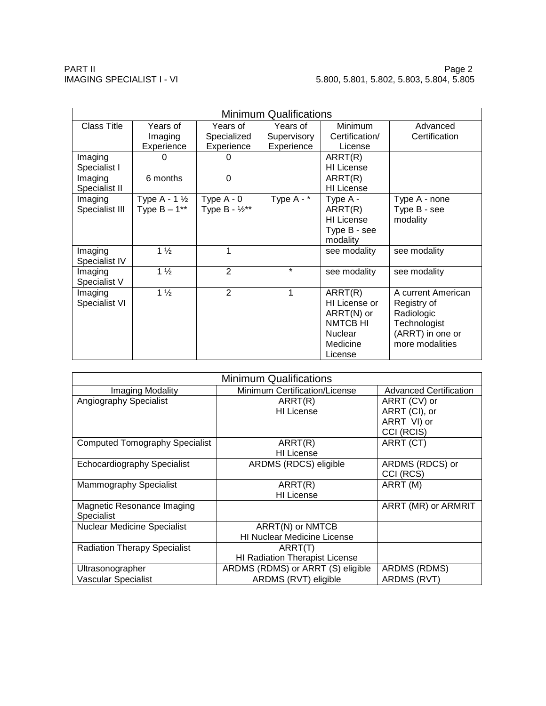| <b>Minimum Qualifications</b> |                         |                           |                         |                   |                    |  |
|-------------------------------|-------------------------|---------------------------|-------------------------|-------------------|--------------------|--|
| <b>Class Title</b>            | Years of                | Years of                  | Years of                | Minimum           | Advanced           |  |
|                               | Imaging                 | Specialized               | Supervisory             | Certification/    | Certification      |  |
|                               | Experience              | Experience                | Experience              | License           |                    |  |
| Imaging                       |                         | ი                         |                         | ARRT(R)           |                    |  |
| Specialist I                  |                         |                           |                         | <b>HI</b> License |                    |  |
| Imaging                       | 6 months                | $\overline{0}$            |                         | ARRT(R)           |                    |  |
| Specialist II                 |                         |                           |                         | HI License        |                    |  |
| Imaging                       | Type A - $1\frac{1}{2}$ | Type $A - 0$              | Type $A - \overline{X}$ | Type A -          | Type A - none      |  |
| Specialist III                | Type $B - 1***$         | Type $B - \frac{1}{2}$ ** |                         | ARRT(R)           | Type B - see       |  |
|                               |                         |                           |                         | <b>HI</b> License | modality           |  |
|                               |                         |                           |                         | Type B - see      |                    |  |
|                               |                         |                           |                         | modality          |                    |  |
| Imaging                       | $1\frac{1}{2}$          | 1                         |                         | see modality      | see modality       |  |
| Specialist IV                 |                         |                           |                         |                   |                    |  |
| Imaging                       | $1\frac{1}{2}$          | $\overline{2}$            | $\star$                 | see modality      | see modality       |  |
| Specialist V                  |                         |                           |                         |                   |                    |  |
| Imaging                       | $1\frac{1}{2}$          | $\overline{2}$            | 1                       | ARRT(R)           | A current American |  |
| Specialist VI                 |                         |                           |                         | HI License or     | Registry of        |  |
|                               |                         |                           |                         | ARRT(N) or        | Radiologic         |  |
|                               |                         |                           |                         | <b>NMTCB HI</b>   | Technologist       |  |
|                               |                         |                           |                         | <b>Nuclear</b>    | (ARRT) in one or   |  |
|                               |                         |                           |                         | Medicine          | more modalities    |  |
|                               |                         |                           |                         | License           |                    |  |

| <b>Minimum Qualifications</b>         |                                    |                               |  |  |  |
|---------------------------------------|------------------------------------|-------------------------------|--|--|--|
| Imaging Modality                      | Minimum Certification/License      | <b>Advanced Certification</b> |  |  |  |
| Angiography Specialist                | ART(R)                             | ARRT (CV) or                  |  |  |  |
|                                       | <b>HI</b> License                  | ARRT (CI), or                 |  |  |  |
|                                       |                                    | ARRT VI) or                   |  |  |  |
|                                       |                                    | CCI (RCIS)                    |  |  |  |
| <b>Computed Tomography Specialist</b> | ART(R)                             | ARRT (CT)                     |  |  |  |
|                                       | <b>HI</b> License                  |                               |  |  |  |
| <b>Echocardiography Specialist</b>    | ARDMS (RDCS) eligible              | ARDMS (RDCS) or               |  |  |  |
|                                       |                                    | CCI (RCS)                     |  |  |  |
| Mammography Specialist                | ART(R)                             | ARRT (M)                      |  |  |  |
|                                       | <b>HI</b> License                  |                               |  |  |  |
| Magnetic Resonance Imaging            |                                    | ARRT (MR) or ARMRIT           |  |  |  |
| <b>Specialist</b>                     |                                    |                               |  |  |  |
| <b>Nuclear Medicine Specialist</b>    | ARRT(N) or NMTCB                   |                               |  |  |  |
|                                       | <b>HI Nuclear Medicine License</b> |                               |  |  |  |
| <b>Radiation Therapy Specialist</b>   | ARRT(T)                            |                               |  |  |  |
|                                       | HI Radiation Therapist License     |                               |  |  |  |
| Ultrasonographer                      | ARDMS (RDMS) or ARRT (S) eligible  | ARDMS (RDMS)                  |  |  |  |
| Vascular Specialist                   | ARDMS (RVT) eligible               | ARDMS (RVT)                   |  |  |  |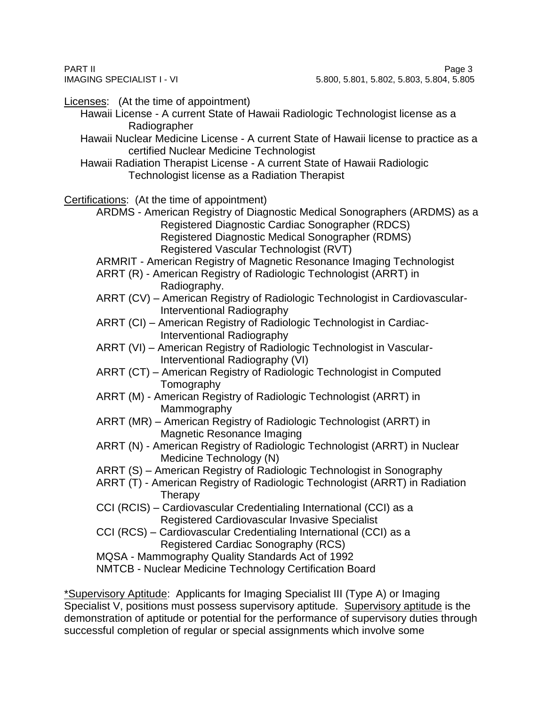Licenses: (At the time of appointment)

- Hawaii License A current State of Hawaii Radiologic Technologist license as a Radiographer
- Hawaii Nuclear Medicine License A current State of Hawaii license to practice as a certified Nuclear Medicine Technologist
- Hawaii Radiation Therapist License A current State of Hawaii Radiologic Technologist license as a Radiation Therapist

Certifications: (At the time of appointment)

ARDMS - American Registry of Diagnostic Medical Sonographers (ARDMS) as a Registered Diagnostic Cardiac Sonographer (RDCS) Registered Diagnostic Medical Sonographer (RDMS) Registered Vascular Technologist (RVT)

- ARMRIT American Registry of Magnetic Resonance Imaging Technologist
- ARRT (R) American Registry of Radiologic Technologist (ARRT) in Radiography.
- ARRT (CV) American Registry of Radiologic Technologist in Cardiovascular-Interventional Radiography
- ARRT (CI) American Registry of Radiologic Technologist in Cardiac-Interventional Radiography
- ARRT (VI) American Registry of Radiologic Technologist in Vascular-Interventional Radiography (VI)
- ARRT (CT) American Registry of Radiologic Technologist in Computed Tomography
- ARRT (M) American Registry of Radiologic Technologist (ARRT) in Mammography
- ARRT (MR) American Registry of Radiologic Technologist (ARRT) in Magnetic Resonance Imaging
- ARRT (N) American Registry of Radiologic Technologist (ARRT) in Nuclear Medicine Technology (N)
- ARRT (S) American Registry of Radiologic Technologist in Sonography
- ARRT (T) American Registry of Radiologic Technologist (ARRT) in Radiation **Therapy**
- CCI (RCIS) Cardiovascular Credentialing International (CCI) as a Registered Cardiovascular Invasive Specialist
- CCI (RCS) Cardiovascular Credentialing International (CCI) as a Registered Cardiac Sonography (RCS)
- MQSA Mammography Quality Standards Act of 1992

NMTCB - Nuclear Medicine Technology Certification Board

\*Supervisory Aptitude: Applicants for Imaging Specialist III (Type A) or Imaging Specialist V, positions must possess supervisory aptitude. Supervisory aptitude is the demonstration of aptitude or potential for the performance of supervisory duties through successful completion of regular or special assignments which involve some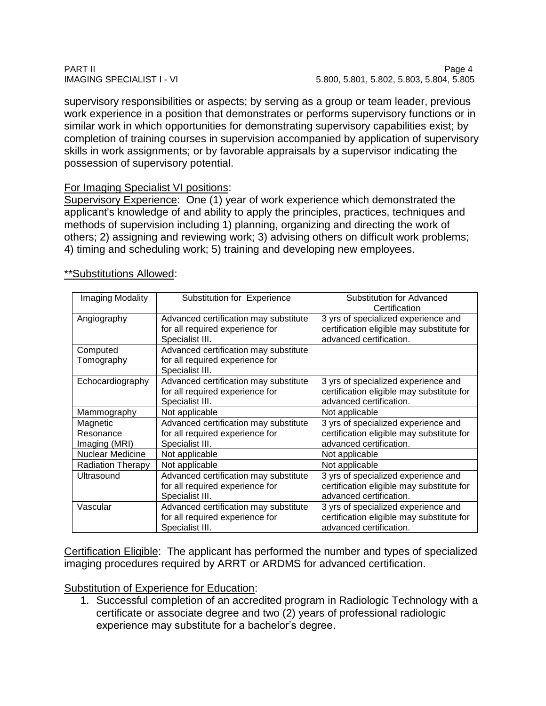supervisory responsibilities or aspects; by serving as a group or team leader, previous work experience in a position that demonstrates or performs supervisory functions or in similar work in which opportunities for demonstrating supervisory capabilities exist; by completion of training courses in supervision accompanied by application of supervisory skills in work assignments; or by favorable appraisals by a supervisor indicating the possession of supervisory potential.

## For Imaging Specialist VI positions:

Supervisory Experience: One (1) year of work experience which demonstrated the applicant's knowledge of and ability to apply the principles, practices, techniques and methods of supervision including 1) planning, organizing and directing the work of others; 2) assigning and reviewing work; 3) advising others on difficult work problems; 4) timing and scheduling work; 5) training and developing new employees.

| Imaging Modality         | Substitution for Experience                                                                 | Substitution for Advanced<br>Certification                                                                  |
|--------------------------|---------------------------------------------------------------------------------------------|-------------------------------------------------------------------------------------------------------------|
| Angiography              | Advanced certification may substitute<br>for all required experience for<br>Specialist III. | 3 yrs of specialized experience and<br>certification eligible may substitute for<br>advanced certification. |
| Computed                 | Advanced certification may substitute                                                       |                                                                                                             |
| Tomography               | for all required experience for<br>Specialist III.                                          |                                                                                                             |
| Echocardiography         | Advanced certification may substitute<br>for all required experience for<br>Specialist III. | 3 yrs of specialized experience and<br>certification eligible may substitute for<br>advanced certification. |
| Mammography              | Not applicable                                                                              | Not applicable                                                                                              |
| Magnetic                 | Advanced certification may substitute                                                       | 3 yrs of specialized experience and                                                                         |
| Resonance                | for all required experience for                                                             | certification eligible may substitute for                                                                   |
| Imaging (MRI)            | Specialist III.                                                                             | advanced certification.                                                                                     |
| <b>Nuclear Medicine</b>  | Not applicable                                                                              | Not applicable                                                                                              |
| <b>Radiation Therapy</b> | Not applicable                                                                              | Not applicable                                                                                              |
| Ultrasound               | Advanced certification may substitute                                                       | 3 yrs of specialized experience and                                                                         |
|                          | for all required experience for                                                             | certification eligible may substitute for                                                                   |
|                          | Specialist III.                                                                             | advanced certification.                                                                                     |
| Vascular                 | Advanced certification may substitute                                                       | 3 yrs of specialized experience and                                                                         |
|                          | for all required experience for                                                             | certification eligible may substitute for                                                                   |
|                          | Specialist III.                                                                             | advanced certification.                                                                                     |

### \*\*Substitutions Allowed:

Certification Eligible: The applicant has performed the number and types of specialized imaging procedures required by ARRT or ARDMS for advanced certification.

# Substitution of Experience for Education:

1. Successful completion of an accredited program in Radiologic Technology with a certificate or associate degree and two (2) years of professional radiologic experience may substitute for a bachelor's degree.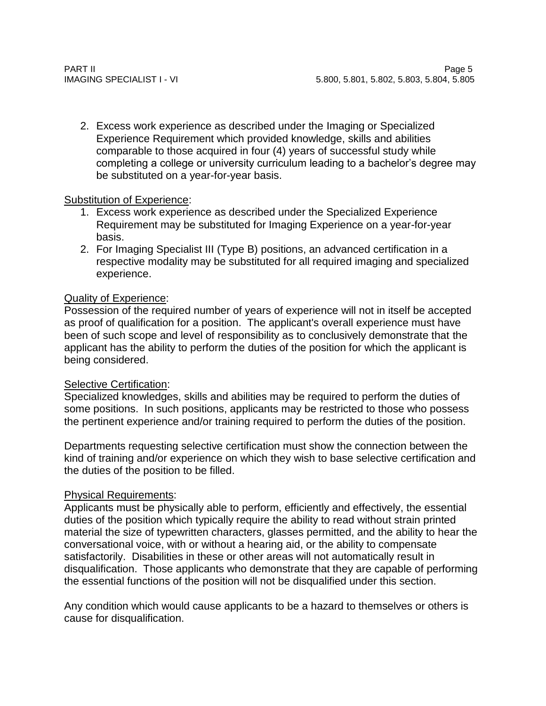2. Excess work experience as described under the Imaging or Specialized Experience Requirement which provided knowledge, skills and abilities comparable to those acquired in four (4) years of successful study while completing a college or university curriculum leading to a bachelor's degree may be substituted on a year-for-year basis.

# Substitution of Experience:

- 1. Excess work experience as described under the Specialized Experience Requirement may be substituted for Imaging Experience on a year-for-year basis.
- 2. For Imaging Specialist III (Type B) positions, an advanced certification in a respective modality may be substituted for all required imaging and specialized experience.

# Quality of Experience:

Possession of the required number of years of experience will not in itself be accepted as proof of qualification for a position. The applicant's overall experience must have been of such scope and level of responsibility as to conclusively demonstrate that the applicant has the ability to perform the duties of the position for which the applicant is being considered.

## **Selective Certification:**

Specialized knowledges, skills and abilities may be required to perform the duties of some positions. In such positions, applicants may be restricted to those who possess the pertinent experience and/or training required to perform the duties of the position.

Departments requesting selective certification must show the connection between the kind of training and/or experience on which they wish to base selective certification and the duties of the position to be filled.

# Physical Requirements:

Applicants must be physically able to perform, efficiently and effectively, the essential duties of the position which typically require the ability to read without strain printed material the size of typewritten characters, glasses permitted, and the ability to hear the conversational voice, with or without a hearing aid, or the ability to compensate satisfactorily. Disabilities in these or other areas will not automatically result in disqualification. Those applicants who demonstrate that they are capable of performing the essential functions of the position will not be disqualified under this section.

Any condition which would cause applicants to be a hazard to themselves or others is cause for disqualification.